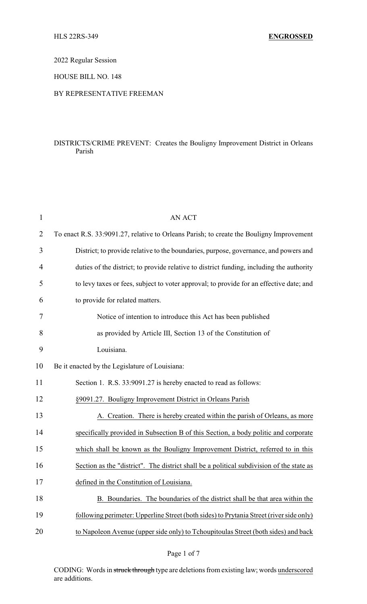2022 Regular Session

HOUSE BILL NO. 148

## BY REPRESENTATIVE FREEMAN

## DISTRICTS/CRIME PREVENT: Creates the Bouligny Improvement District in Orleans Parish

| $\mathbf{1}$ | <b>AN ACT</b>                                                                            |
|--------------|------------------------------------------------------------------------------------------|
| 2            | To enact R.S. 33:9091.27, relative to Orleans Parish; to create the Bouligny Improvement |
| 3            | District; to provide relative to the boundaries, purpose, governance, and powers and     |
| 4            | duties of the district; to provide relative to district funding, including the authority |
| 5            | to levy taxes or fees, subject to voter approval; to provide for an effective date; and  |
| 6            | to provide for related matters.                                                          |
| 7            | Notice of intention to introduce this Act has been published                             |
| 8            | as provided by Article III, Section 13 of the Constitution of                            |
| 9            | Louisiana.                                                                               |
| 10           | Be it enacted by the Legislature of Louisiana:                                           |
| 11           | Section 1. R.S. 33:9091.27 is hereby enacted to read as follows:                         |
| 12           | §9091.27. Bouligny Improvement District in Orleans Parish                                |
| 13           | A. Creation. There is hereby created within the parish of Orleans, as more               |
| 14           | specifically provided in Subsection B of this Section, a body politic and corporate      |
| 15           | which shall be known as the Bouligny Improvement District, referred to in this           |
| 16           | Section as the "district". The district shall be a political subdivision of the state as |
| 17           | defined in the Constitution of Louisiana.                                                |
| 18           | B. Boundaries. The boundaries of the district shall be that area within the              |
| 19           | following perimeter: Upperline Street (both sides) to Prytania Street (river side only)  |
| 20           | to Napoleon Avenue (upper side only) to Tchoupitoulas Street (both sides) and back       |
|              |                                                                                          |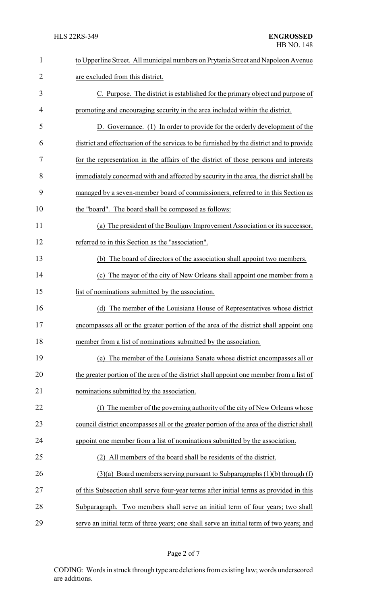| $\mathbf{1}$ | to Upperline Street. All municipal numbers on Prytania Street and Napoleon Avenue         |
|--------------|-------------------------------------------------------------------------------------------|
| 2            | are excluded from this district.                                                          |
| 3            | C. Purpose. The district is established for the primary object and purpose of             |
| 4            | promoting and encouraging security in the area included within the district.              |
| 5            | D. Governance. (1) In order to provide for the orderly development of the                 |
| 6            | district and effectuation of the services to be furnished by the district and to provide  |
| 7            | for the representation in the affairs of the district of those persons and interests      |
| 8            | immediately concerned with and affected by security in the area, the district shall be    |
| 9            | managed by a seven-member board of commissioners, referred to in this Section as          |
| 10           | the "board". The board shall be composed as follows:                                      |
| 11           | (a) The president of the Bouligny Improvement Association or its successor,               |
| 12           | referred to in this Section as the "association".                                         |
| 13           | (b) The board of directors of the association shall appoint two members.                  |
| 14           | (c) The mayor of the city of New Orleans shall appoint one member from a                  |
| 15           | list of nominations submitted by the association.                                         |
| 16           | The member of the Louisiana House of Representatives whose district<br>(d)                |
| 17           | encompasses all or the greater portion of the area of the district shall appoint one      |
| 18           | member from a list of nominations submitted by the association.                           |
| 19           | (e) The member of the Louisiana Senate whose district encompasses all or                  |
| 20           | the greater portion of the area of the district shall appoint one member from a list of   |
| 21           | nominations submitted by the association.                                                 |
| 22           | The member of the governing authority of the city of New Orleans whose<br>(f)             |
| 23           | council district encompasses all or the greater portion of the area of the district shall |
| 24           | appoint one member from a list of nominations submitted by the association.               |
| 25           | All members of the board shall be residents of the district.                              |
| 26           | $(3)(a)$ Board members serving pursuant to Subparagraphs $(1)(b)$ through $(f)$           |
| 27           | of this Subsection shall serve four-year terms after initial terms as provided in this    |
| 28           | Subparagraph. Two members shall serve an initial term of four years; two shall            |
| 29           | serve an initial term of three years; one shall serve an initial term of two years; and   |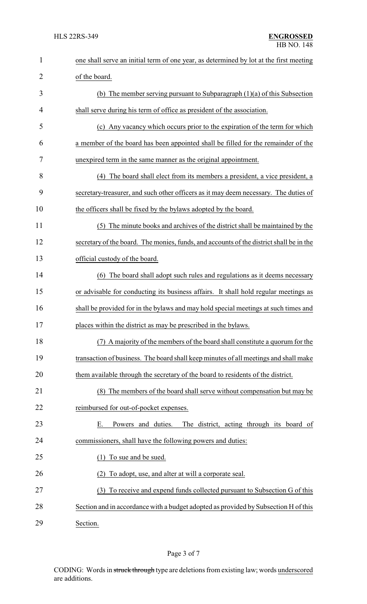| $\mathbf{1}$   | one shall serve an initial term of one year, as determined by lot at the first meeting  |  |  |
|----------------|-----------------------------------------------------------------------------------------|--|--|
| $\overline{2}$ | of the board.                                                                           |  |  |
| 3              | (b) The member serving pursuant to Subparagraph $(1)(a)$ of this Subsection             |  |  |
| 4              | shall serve during his term of office as president of the association.                  |  |  |
| 5              | (c) Any vacancy which occurs prior to the expiration of the term for which              |  |  |
| 6              | a member of the board has been appointed shall be filled for the remainder of the       |  |  |
| 7              | unexpired term in the same manner as the original appointment.                          |  |  |
| 8              | (4) The board shall elect from its members a president, a vice president, a             |  |  |
| 9              | secretary-treasurer, and such other officers as it may deem necessary. The duties of    |  |  |
| 10             | the officers shall be fixed by the bylaws adopted by the board.                         |  |  |
| 11             | (5) The minute books and archives of the district shall be maintained by the            |  |  |
| 12             | secretary of the board. The monies, funds, and accounts of the district shall be in the |  |  |
| 13             | official custody of the board.                                                          |  |  |
| 14             | (6) The board shall adopt such rules and regulations as it deems necessary              |  |  |
| 15             | or advisable for conducting its business affairs. It shall hold regular meetings as     |  |  |
| 16             | shall be provided for in the bylaws and may hold special meetings at such times and     |  |  |
| 17             | places within the district as may be prescribed in the bylaws.                          |  |  |
| 18             | (7) A majority of the members of the board shall constitute a quorum for the            |  |  |
| 19             | transaction of business. The board shall keep minutes of all meetings and shall make    |  |  |
| 20             | them available through the secretary of the board to residents of the district.         |  |  |
| 21             | (8) The members of the board shall serve without compensation but may be                |  |  |
| 22             | reimbursed for out-of-pocket expenses.                                                  |  |  |
| 23             | Powers and duties.<br>The district, acting through its board of<br>Е.                   |  |  |
| 24             | commissioners, shall have the following powers and duties:                              |  |  |
| 25             | To sue and be sued.                                                                     |  |  |
| 26             | To adopt, use, and alter at will a corporate seal.                                      |  |  |
| 27             | To receive and expend funds collected pursuant to Subsection G of this<br>(3)           |  |  |
| 28             | Section and in accordance with a budget adopted as provided by Subsection H of this     |  |  |
| 29             | Section.                                                                                |  |  |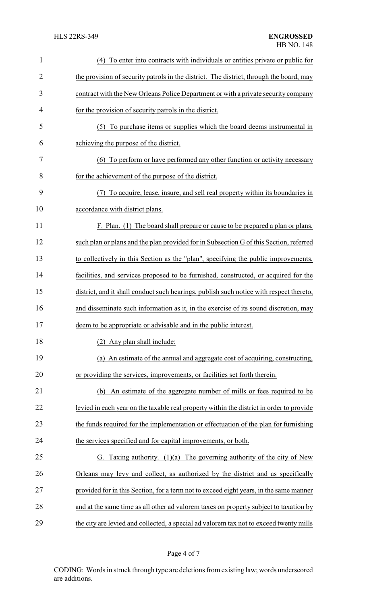| $\mathbf{1}$   | (4) To enter into contracts with individuals or entities private or public for           |
|----------------|------------------------------------------------------------------------------------------|
| $\overline{2}$ | the provision of security patrols in the district. The district, through the board, may  |
| 3              | contract with the New Orleans Police Department or with a private security company       |
| 4              | for the provision of security patrols in the district.                                   |
| 5              | To purchase items or supplies which the board deems instrumental in<br>(5)               |
| 6              | achieving the purpose of the district.                                                   |
| 7              | (6) To perform or have performed any other function or activity necessary                |
| 8              | for the achievement of the purpose of the district.                                      |
| 9              | To acquire, lease, insure, and sell real property within its boundaries in<br>(7)        |
| 10             | accordance with district plans.                                                          |
| 11             | F. Plan. (1) The board shall prepare or cause to be prepared a plan or plans,            |
| 12             | such plan or plans and the plan provided for in Subsection G of this Section, referred   |
| 13             | to collectively in this Section as the "plan", specifying the public improvements,       |
| 14             | facilities, and services proposed to be furnished, constructed, or acquired for the      |
| 15             | district, and it shall conduct such hearings, publish such notice with respect thereto,  |
| 16             | and disseminate such information as it, in the exercise of its sound discretion, may     |
| 17             | deem to be appropriate or advisable and in the public interest.                          |
| 18             | (2) Any plan shall include:                                                              |
| 19             | (a) An estimate of the annual and aggregate cost of acquiring, constructing,             |
| 20             | or providing the services, improvements, or facilities set forth therein.                |
| 21             | An estimate of the aggregate number of mills or fees required to be<br>(b)               |
| 22             | levied in each year on the taxable real property within the district in order to provide |
| 23             | the funds required for the implementation or effectuation of the plan for furnishing     |
| 24             | the services specified and for capital improvements, or both.                            |
| 25             | Taxing authority. $(1)(a)$ The governing authority of the city of New<br>G.              |
| 26             | Orleans may levy and collect, as authorized by the district and as specifically          |
| 27             | provided for in this Section, for a term not to exceed eight years, in the same manner   |
| 28             | and at the same time as all other ad valorem taxes on property subject to taxation by    |
| 29             | the city are levied and collected, a special ad valorem tax not to exceed twenty mills   |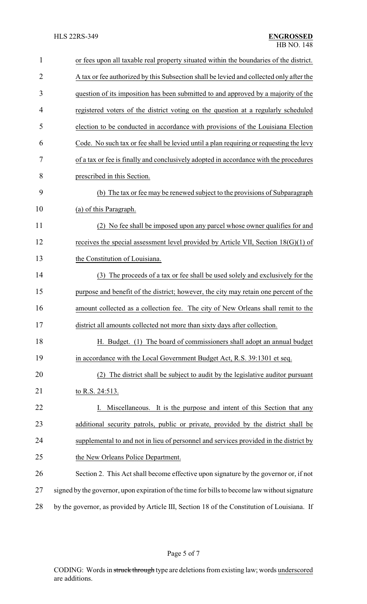| $\mathbf{1}$   | or fees upon all taxable real property situated within the boundaries of the district.        |
|----------------|-----------------------------------------------------------------------------------------------|
| $\overline{2}$ | A tax or fee authorized by this Subsection shall be levied and collected only after the       |
| 3              | question of its imposition has been submitted to and approved by a majority of the            |
| 4              | registered voters of the district voting on the question at a regularly scheduled             |
| 5              | election to be conducted in accordance with provisions of the Louisiana Election              |
| 6              | Code. No such tax or fee shall be levied until a plan requiring or requesting the levy        |
| 7              | of a tax or fee is finally and conclusively adopted in accordance with the procedures         |
| 8              | prescribed in this Section.                                                                   |
| 9              | (b) The tax or fee may be renewed subject to the provisions of Subparagraph                   |
| 10             | (a) of this Paragraph.                                                                        |
| 11             | (2) No fee shall be imposed upon any parcel whose owner qualifies for and                     |
| 12             | receives the special assessment level provided by Article VII, Section $18(G)(1)$ of          |
| 13             | the Constitution of Louisiana.                                                                |
| 14             | (3) The proceeds of a tax or fee shall be used solely and exclusively for the                 |
| 15             | purpose and benefit of the district; however, the city may retain one percent of the          |
| 16             | amount collected as a collection fee. The city of New Orleans shall remit to the              |
| 17             | district all amounts collected not more than sixty days after collection.                     |
| 18             | H. Budget. (1) The board of commissioners shall adopt an annual budget                        |
| 19             | in accordance with the Local Government Budget Act, R.S. 39:1301 et seq.                      |
| 20             | The district shall be subject to audit by the legislative auditor pursuant<br>(2)             |
| 21             | to R.S. 24:513.                                                                               |
| 22             | Miscellaneous. It is the purpose and intent of this Section that any                          |
| 23             | additional security patrols, public or private, provided by the district shall be             |
| 24             | supplemental to and not in lieu of personnel and services provided in the district by         |
| 25             | the New Orleans Police Department.                                                            |
| 26             | Section 2. This Act shall become effective upon signature by the governor or, if not          |
| 27             | signed by the governor, upon expiration of the time for bills to become law without signature |
| 28             | by the governor, as provided by Article III, Section 18 of the Constitution of Louisiana. If  |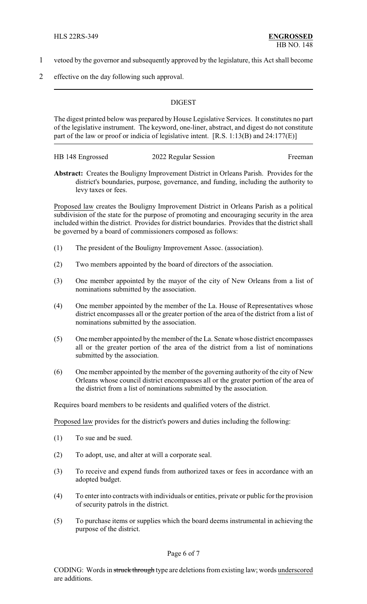- 1 vetoed by the governor and subsequently approved by the legislature, this Act shall become
- 2 effective on the day following such approval.

## **DIGEST**

The digest printed below was prepared by House Legislative Services. It constitutes no part of the legislative instrument. The keyword, one-liner, abstract, and digest do not constitute part of the law or proof or indicia of legislative intent. [R.S. 1:13(B) and 24:177(E)]

| HB 148 Engrossed | 2022 Regular Session | Freeman |
|------------------|----------------------|---------|
|                  |                      |         |

**Abstract:** Creates the Bouligny Improvement District in Orleans Parish. Provides for the district's boundaries, purpose, governance, and funding, including the authority to levy taxes or fees.

Proposed law creates the Bouligny Improvement District in Orleans Parish as a political subdivision of the state for the purpose of promoting and encouraging security in the area included within the district. Provides for district boundaries. Provides that the district shall be governed by a board of commissioners composed as follows:

- (1) The president of the Bouligny Improvement Assoc. (association).
- (2) Two members appointed by the board of directors of the association.
- (3) One member appointed by the mayor of the city of New Orleans from a list of nominations submitted by the association.
- (4) One member appointed by the member of the La. House of Representatives whose district encompasses all or the greater portion of the area of the district from a list of nominations submitted by the association.
- (5) One member appointed by the member of the La. Senate whose district encompasses all or the greater portion of the area of the district from a list of nominations submitted by the association.
- (6) One member appointed by the member of the governing authority of the city of New Orleans whose council district encompasses all or the greater portion of the area of the district from a list of nominations submitted by the association.

Requires board members to be residents and qualified voters of the district.

Proposed law provides for the district's powers and duties including the following:

- (1) To sue and be sued.
- (2) To adopt, use, and alter at will a corporate seal.
- (3) To receive and expend funds from authorized taxes or fees in accordance with an adopted budget.
- (4) To enter into contracts with individuals or entities, private or public for the provision of security patrols in the district.
- (5) To purchase items or supplies which the board deems instrumental in achieving the purpose of the district.

Page 6 of 7